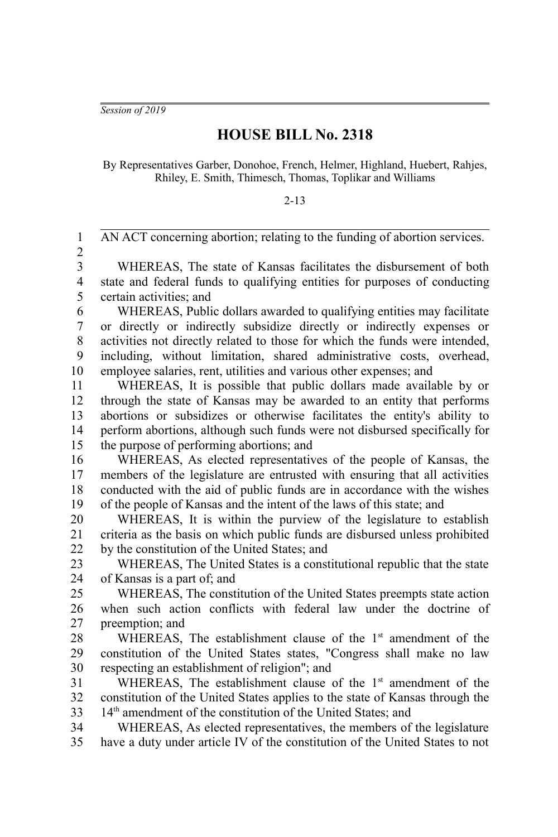*Session of 2019*

## **HOUSE BILL No. 2318**

By Representatives Garber, Donohoe, French, Helmer, Highland, Huebert, Rahjes, Rhiley, E. Smith, Thimesch, Thomas, Toplikar and Williams

## 2-13

AN ACT concerning abortion; relating to the funding of abortion services. WHEREAS, The state of Kansas facilitates the disbursement of both state and federal funds to qualifying entities for purposes of conducting certain activities; and WHEREAS, Public dollars awarded to qualifying entities may facilitate or directly or indirectly subsidize directly or indirectly expenses or activities not directly related to those for which the funds were intended, including, without limitation, shared administrative costs, overhead, employee salaries, rent, utilities and various other expenses; and WHEREAS, It is possible that public dollars made available by or through the state of Kansas may be awarded to an entity that performs abortions or subsidizes or otherwise facilitates the entity's ability to perform abortions, although such funds were not disbursed specifically for the purpose of performing abortions; and WHEREAS, As elected representatives of the people of Kansas, the members of the legislature are entrusted with ensuring that all activities conducted with the aid of public funds are in accordance with the wishes of the people of Kansas and the intent of the laws of this state; and WHEREAS, It is within the purview of the legislature to establish criteria as the basis on which public funds are disbursed unless prohibited by the constitution of the United States; and WHEREAS, The United States is a constitutional republic that the state of Kansas is a part of; and WHEREAS, The constitution of the United States preempts state action when such action conflicts with federal law under the doctrine of preemption; and WHEREAS, The establishment clause of the  $1<sup>st</sup>$  amendment of the constitution of the United States states, "Congress shall make no law respecting an establishment of religion"; and WHEREAS, The establishment clause of the  $1<sup>st</sup>$  amendment of the constitution of the United States applies to the state of Kansas through the 14<sup>th</sup> amendment of the constitution of the United States; and WHEREAS, As elected representatives, the members of the legislature have a duty under article IV of the constitution of the United States to not 1 2 3 4 5 6 7 8 9 10 11 12 13 14 15 16 17 18 19 20 21 22 23 24 25 26 27 28 29 30 31 32 33 34 35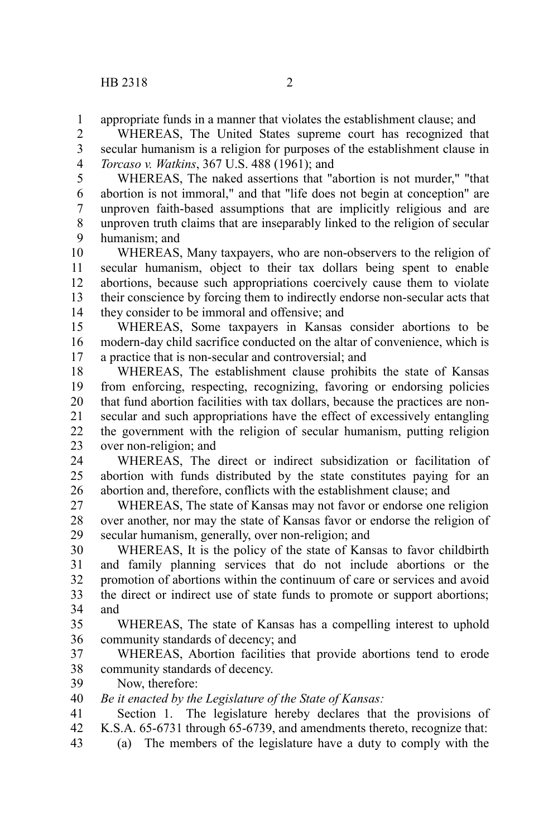appropriate funds in a manner that violates the establishment clause; and 1

WHEREAS, The United States supreme court has recognized that secular humanism is a religion for purposes of the establishment clause in *Torcaso v. Watkins*, 367 U.S. 488 (1961); and 2 3 4

WHEREAS, The naked assertions that "abortion is not murder," "that abortion is not immoral," and that "life does not begin at conception" are unproven faith-based assumptions that are implicitly religious and are unproven truth claims that are inseparably linked to the religion of secular humanism; and 5 6 7 8 9

WHEREAS, Many taxpayers, who are non-observers to the religion of secular humanism, object to their tax dollars being spent to enable abortions, because such appropriations coercively cause them to violate their conscience by forcing them to indirectly endorse non-secular acts that they consider to be immoral and offensive; and 10 11 12 13 14

WHEREAS, Some taxpayers in Kansas consider abortions to be modern-day child sacrifice conducted on the altar of convenience, which is a practice that is non-secular and controversial; and 15 16 17

WHEREAS, The establishment clause prohibits the state of Kansas from enforcing, respecting, recognizing, favoring or endorsing policies that fund abortion facilities with tax dollars, because the practices are nonsecular and such appropriations have the effect of excessively entangling the government with the religion of secular humanism, putting religion over non-religion; and 18 19 20 21 22 23

WHEREAS, The direct or indirect subsidization or facilitation of abortion with funds distributed by the state constitutes paying for an abortion and, therefore, conflicts with the establishment clause; and 24 25 26

WHEREAS, The state of Kansas may not favor or endorse one religion over another, nor may the state of Kansas favor or endorse the religion of secular humanism, generally, over non-religion; and 27 28 29

WHEREAS, It is the policy of the state of Kansas to favor childbirth and family planning services that do not include abortions or the promotion of abortions within the continuum of care or services and avoid the direct or indirect use of state funds to promote or support abortions; and 30 31 32 33 34

WHEREAS, The state of Kansas has a compelling interest to uphold community standards of decency; and 35 36

WHEREAS, Abortion facilities that provide abortions tend to erode community standards of decency. 37 38

Now, therefore: 39

*Be it enacted by the Legislature of the State of Kansas:* 40

Section 1. The legislature hereby declares that the provisions of K.S.A. 65-6731 through 65-6739, and amendments thereto, recognize that: 41 42

(a) The members of the legislature have a duty to comply with the 43